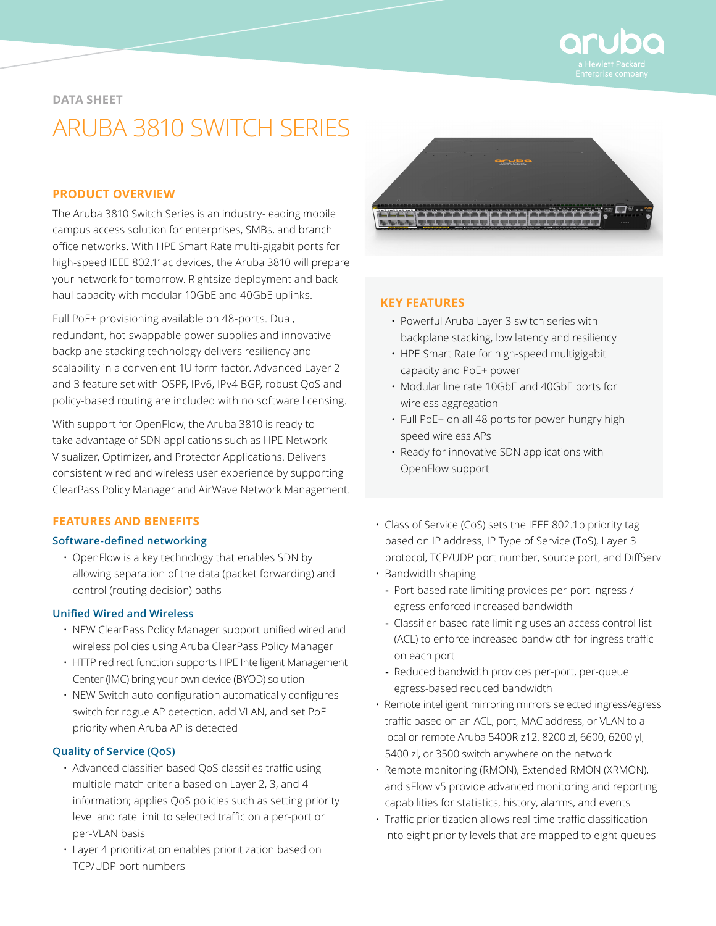

#### **DATA SHEET**

# ARUBA 3810 SWITCH SERIES

# **PRODUCT OVERVIEW**

The Aruba 3810 Switch Series is an industry-leading mobile campus access solution for enterprises, SMBs, and branch office networks. With HPE Smart Rate multi-gigabit ports for high-speed IEEE 802.11ac devices, the Aruba 3810 will prepare your network for tomorrow. Rightsize deployment and back haul capacity with modular 10GbE and 40GbE uplinks.

Full PoE+ provisioning available on 48-ports. Dual, redundant, hot-swappable power supplies and innovative backplane stacking technology delivers resiliency and scalability in a convenient 1U form factor. Advanced Layer 2 and 3 feature set with OSPF, IPv6, IPv4 BGP, robust QoS and policy-based routing are included with no software licensing.

With support for OpenFlow, the Aruba 3810 is ready to take advantage of SDN applications such as HPE Network Visualizer, Optimizer, and Protector Applications. Delivers consistent wired and wireless user experience by supporting ClearPass Policy Manager and AirWave Network Management.

# **FEATURES AND BENEFITS**

## **Software-defined networking**

• OpenFlow is a key technology that enables SDN by allowing separation of the data (packet forwarding) and control (routing decision) paths

## **Unified Wired and Wireless**

- NEW ClearPass Policy Manager support unified wired and wireless policies using Aruba ClearPass Policy Manager
- HTTP redirect function supports HPE Intelligent Management Center (IMC) bring your own device (BYOD) solution
- NEW Switch auto-configuration automatically configures switch for rogue AP detection, add VLAN, and set PoE priority when Aruba AP is detected

#### **Quality of Service (QoS)**

- Advanced classifier-based QoS classifies traffic using multiple match criteria based on Layer 2, 3, and 4 information; applies QoS policies such as setting priority level and rate limit to selected traffic on a per-port or per-VLAN basis
- Layer 4 prioritization enables prioritization based on TCP/UDP port numbers



#### **KEY FEATURES**

- Powerful Aruba Layer 3 switch series with backplane stacking, low latency and resiliency
- HPE Smart Rate for high-speed multigigabit capacity and PoE+ power
- Modular line rate 10GbE and 40GbE ports for wireless aggregation
- Full PoE+ on all 48 ports for power-hungry highspeed wireless APs
- Ready for innovative SDN applications with OpenFlow support
- Class of Service (CoS) sets the IEEE 802.1p priority tag based on IP address, IP Type of Service (ToS), Layer 3 protocol, TCP/UDP port number, source port, and DiffServ
- Bandwidth shaping
	- **-** Port-based rate limiting provides per-port ingress-/ egress-enforced increased bandwidth
	- **-** Classifier-based rate limiting uses an access control list (ACL) to enforce increased bandwidth for ingress traffic on each port
	- **-** Reduced bandwidth provides per-port, per-queue egress-based reduced bandwidth
- Remote intelligent mirroring mirrors selected ingress/egress traffic based on an ACL, port, MAC address, or VLAN to a local or remote Aruba 5400R z12, 8200 zl, 6600, 6200 yl, 5400 zl, or 3500 switch anywhere on the network
- Remote monitoring (RMON), Extended RMON (XRMON), and sFlow v5 provide advanced monitoring and reporting capabilities for statistics, history, alarms, and events
- Traffic prioritization allows real-time traffic classification into eight priority levels that are mapped to eight queues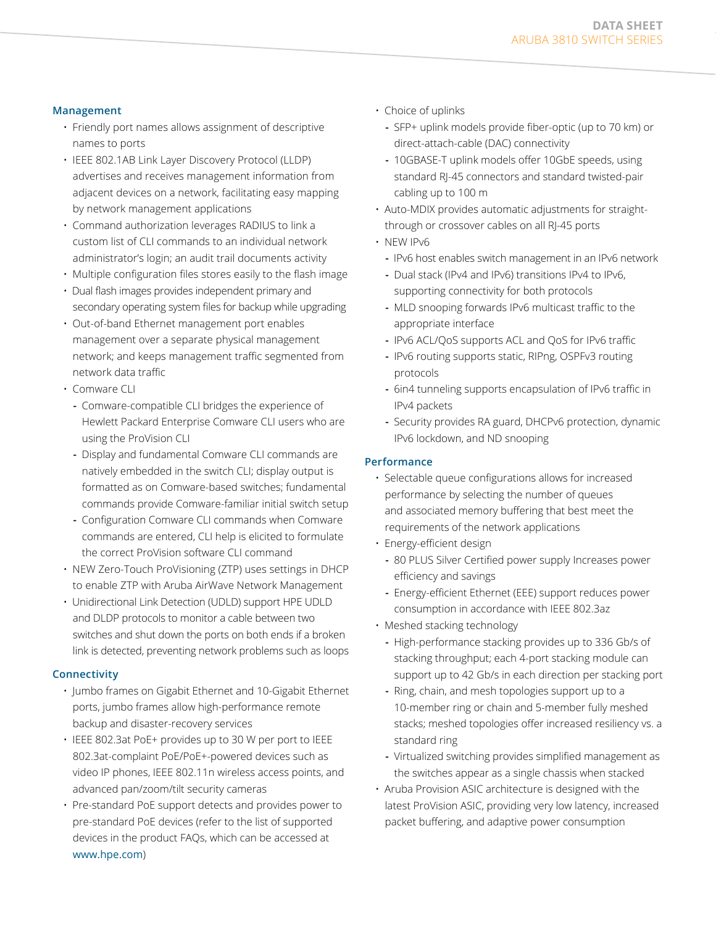## **Management**

- Friendly port names allows assignment of descriptive names to ports
- IEEE 802.1AB Link Layer Discovery Protocol (LLDP) advertises and receives management information from adjacent devices on a network, facilitating easy mapping by network management applications
- Command authorization leverages RADIUS to link a custom list of CLI commands to an individual network administrator's login; an audit trail documents activity
- Multiple configuration files stores easily to the flash image
- Dual flash images provides independent primary and secondary operating system files for backup while upgrading
- Out-of-band Ethernet management port enables management over a separate physical management network; and keeps management traffic segmented from network data traffic
- Comware CLI
	- **-** Comware-compatible CLI bridges the experience of Hewlett Packard Enterprise Comware CLI users who are using the ProVision CLI
	- **-** Display and fundamental Comware CLI commands are natively embedded in the switch CLI; display output is formatted as on Comware-based switches; fundamental commands provide Comware-familiar initial switch setup
	- **-** Configuration Comware CLI commands when Comware commands are entered, CLI help is elicited to formulate the correct ProVision software CLI command
- NEW Zero-Touch ProVisioning (ZTP) uses settings in DHCP to enable ZTP with Aruba AirWave Network Management
- Unidirectional Link Detection (UDLD) support HPE UDLD and DLDP protocols to monitor a cable between two switches and shut down the ports on both ends if a broken link is detected, preventing network problems such as loops

#### **Connectivity**

- Jumbo frames on Gigabit Ethernet and 10-Gigabit Ethernet ports, jumbo frames allow high-performance remote backup and disaster-recovery services
- IEEE 802.3at PoE+ provides up to 30 W per port to IEEE 802.3at-complaint PoE/PoE+-powered devices such as video IP phones, IEEE 802.11n wireless access points, and advanced pan/zoom/tilt security cameras
- Pre-standard PoE support detects and provides power to pre-standard PoE devices (refer to the list of supported devices in the product FAQs, which can be accessed at [www.hpe.com](http://www.hpe.com
))
- Choice of uplinks
	- **-** SFP+ uplink models provide fiber-optic (up to 70 km) or direct-attach-cable (DAC) connectivity
	- **-** 10GBASE-T uplink models offer 10GbE speeds, using standard RJ-45 connectors and standard twisted-pair cabling up to 100 m
- Auto-MDIX provides automatic adjustments for straightthrough or crossover cables on all RJ-45 ports
- NEW IPv6
	- **-** IPv6 host enables switch management in an IPv6 network
	- **-** Dual stack (IPv4 and IPv6) transitions IPv4 to IPv6, supporting connectivity for both protocols
	- **-** MLD snooping forwards IPv6 multicast traffic to the appropriate interface
	- **-** IPv6 ACL/QoS supports ACL and QoS for IPv6 traffic
	- **-** IPv6 routing supports static, RIPng, OSPFv3 routing protocols
	- **-** 6in4 tunneling supports encapsulation of IPv6 traffic in IPv4 packets
	- **-** Security provides RA guard, DHCPv6 protection, dynamic IPv6 lockdown, and ND snooping

#### **Performance**

- Selectable queue configurations allows for increased performance by selecting the number of queues and associated memory buffering that best meet the requirements of the network applications
- Energy-efficient design
	- **-** 80 PLUS Silver Certified power supply Increases power efficiency and savings
	- **-** Energy-efficient Ethernet (EEE) support reduces power consumption in accordance with IEEE 802.3az
- Meshed stacking technology
	- **-** High-performance stacking provides up to 336 Gb/s of stacking throughput; each 4-port stacking module can support up to 42 Gb/s in each direction per stacking port
	- **-** Ring, chain, and mesh topologies support up to a 10-member ring or chain and 5-member fully meshed stacks; meshed topologies offer increased resiliency vs. a standard ring
	- **-** Virtualized switching provides simplified management as the switches appear as a single chassis when stacked
- Aruba Provision ASIC architecture is designed with the latest ProVision ASIC, providing very low latency, increased packet buffering, and adaptive power consumption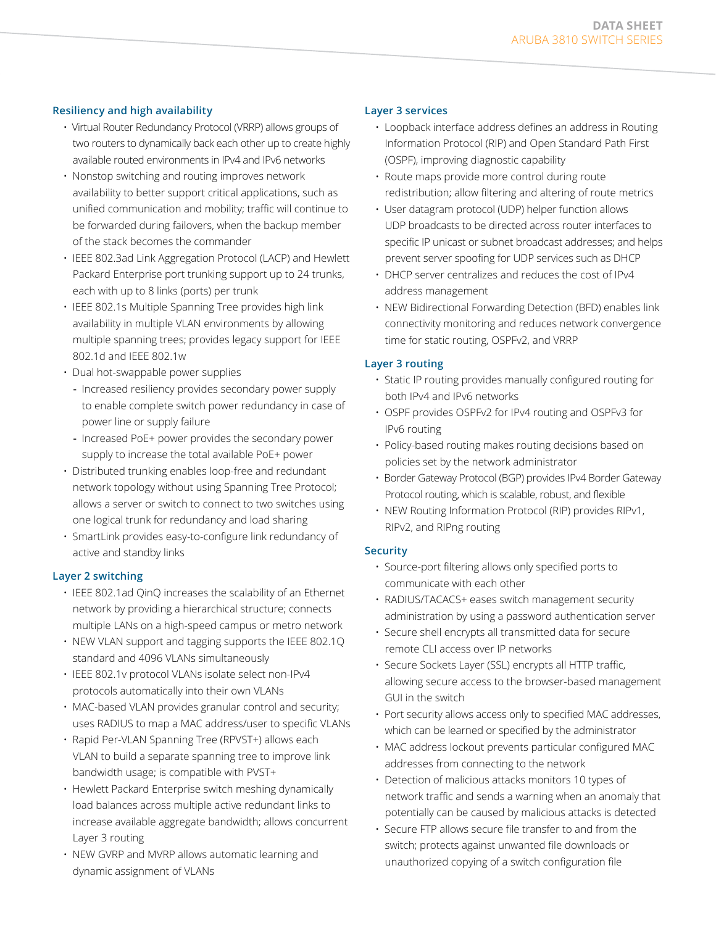# **Resiliency and high availability**

- Virtual Router Redundancy Protocol (VRRP) allows groups of two routers to dynamically back each other up to create highly available routed environments in IPv4 and IPv6 networks
- Nonstop switching and routing improves network availability to better support critical applications, such as unified communication and mobility; traffic will continue to be forwarded during failovers, when the backup member of the stack becomes the commander
- IEEE 802.3ad Link Aggregation Protocol (LACP) and Hewlett Packard Enterprise port trunking support up to 24 trunks, each with up to 8 links (ports) per trunk
- IEEE 802.1s Multiple Spanning Tree provides high link availability in multiple VLAN environments by allowing multiple spanning trees; provides legacy support for IEEE 802.1d and IEEE 802.1w
- Dual hot-swappable power supplies
	- **-** Increased resiliency provides secondary power supply to enable complete switch power redundancy in case of power line or supply failure
	- **-** Increased PoE+ power provides the secondary power supply to increase the total available PoE+ power
- Distributed trunking enables loop-free and redundant network topology without using Spanning Tree Protocol; allows a server or switch to connect to two switches using one logical trunk for redundancy and load sharing
- SmartLink provides easy-to-configure link redundancy of active and standby links

## **Layer 2 switching**

- IEEE 802.1ad QinQ increases the scalability of an Ethernet network by providing a hierarchical structure; connects multiple LANs on a high-speed campus or metro network
- NEW VLAN support and tagging supports the IEEE 802.1Q standard and 4096 VLANs simultaneously
- IEEE 802.1v protocol VLANs isolate select non-IPv4 protocols automatically into their own VLANs
- MAC-based VLAN provides granular control and security; uses RADIUS to map a MAC address/user to specific VLANs
- Rapid Per-VLAN Spanning Tree (RPVST+) allows each VLAN to build a separate spanning tree to improve link bandwidth usage; is compatible with PVST+
- Hewlett Packard Enterprise switch meshing dynamically load balances across multiple active redundant links to increase available aggregate bandwidth; allows concurrent Layer 3 routing
- NEW GVRP and MVRP allows automatic learning and dynamic assignment of VLANs

## **Layer 3 services**

- Loopback interface address defines an address in Routing Information Protocol (RIP) and Open Standard Path First (OSPF), improving diagnostic capability
- Route maps provide more control during route redistribution; allow filtering and altering of route metrics
- User datagram protocol (UDP) helper function allows UDP broadcasts to be directed across router interfaces to specific IP unicast or subnet broadcast addresses; and helps prevent server spoofing for UDP services such as DHCP
- DHCP server centralizes and reduces the cost of IPv4 address management
- NEW Bidirectional Forwarding Detection (BFD) enables link connectivity monitoring and reduces network convergence time for static routing, OSPFv2, and VRRP

# **Layer 3 routing**

- Static IP routing provides manually configured routing for both IPv4 and IPv6 networks
- OSPF provides OSPFv2 for IPv4 routing and OSPFv3 for IPv6 routing
- Policy-based routing makes routing decisions based on policies set by the network administrator
- Border Gateway Protocol (BGP) provides IPv4 Border Gateway Protocol routing, which is scalable, robust, and flexible
- NEW Routing Information Protocol (RIP) provides RIPv1, RIPv2, and RIPng routing

# **Security**

- Source-port filtering allows only specified ports to communicate with each other
- RADIUS/TACACS+ eases switch management security administration by using a password authentication server
- Secure shell encrypts all transmitted data for secure remote CLI access over IP networks
- Secure Sockets Layer (SSL) encrypts all HTTP traffic, allowing secure access to the browser-based management GUI in the switch
- Port security allows access only to specified MAC addresses, which can be learned or specified by the administrator
- MAC address lockout prevents particular configured MAC addresses from connecting to the network
- Detection of malicious attacks monitors 10 types of network traffic and sends a warning when an anomaly that potentially can be caused by malicious attacks is detected
- Secure FTP allows secure file transfer to and from the switch; protects against unwanted file downloads or unauthorized copying of a switch configuration file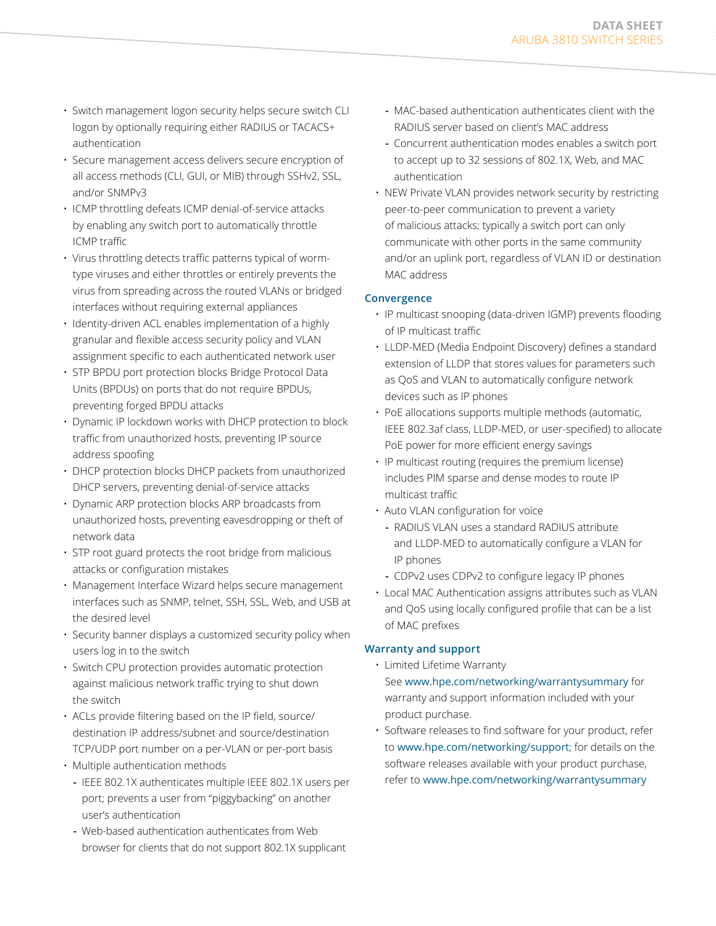- Switch management logon security helps secure switch CLI logon by optionally requiring either RADIUS or TACACS+ authentication
- Secure management access delivers secure encryption of all access methods (CLI, GUI, or MIB) through SSHv2, SSL, and/or SNMPv3
- ICMP throttling defeats ICMP denial-of-service attacks by enabling any switch port to automatically throttle ICMP traffic
- Virus throttling detects traffic patterns typical of wormtype viruses and either throttles or entirely prevents the virus from spreading across the routed VLANs or bridged interfaces without requiring external appliances
- Identity-driven ACL enables implementation of a highly granular and flexible access security policy and VLAN assignment specific to each authenticated network user
- STP BPDU port protection blocks Bridge Protocol Data Units (BPDUs) on ports that do not require BPDUs, preventing forged BPDU attacks
- Dynamic IP lockdown works with DHCP protection to block traffic from unauthorized hosts, preventing IP source address spoofing
- DHCP protection blocks DHCP packets from unauthorized DHCP servers, preventing denial-of-service attacks
- Dynamic ARP protection blocks ARP broadcasts from unauthorized hosts, preventing eavesdropping or theft of network data
- STP root guard protects the root bridge from malicious attacks or configuration mistakes
- Management Interface Wizard helps secure management interfaces such as SNMP, telnet, SSH, SSL, Web, and USB at the desired level
- Security banner displays a customized security policy when users log in to the switch
- Switch CPU protection provides automatic protection against malicious network traffic trying to shut down the switch
- ACLs provide filtering based on the IP field, source/ destination IP address/subnet and source/destination TCP/UDP port number on a per-VLAN or per-port basis
- Multiple authentication methods
	- **-** IEEE 802.1X authenticates multiple IEEE 802.1X users per port; prevents a user from "piggybacking" on another user's authentication
	- **-** Web-based authentication authenticates from Web browser for clients that do not support 802.1X supplicant
- **-** MAC-based authentication authenticates client with the RADIUS server based on client's MAC address
- **-** Concurrent authentication modes enables a switch port to accept up to 32 sessions of 802.1X, Web, and MAC authentication
- NEW Private VLAN provides network security by restricting peer-to-peer communication to prevent a variety of malicious attacks; typically a switch port can only communicate with other ports in the same community and/or an uplink port, regardless of VLAN ID or destination MAC address

## **Convergence**

- IP multicast snooping (data-driven IGMP) prevents flooding of IP multicast traffic
- LLDP-MED (Media Endpoint Discovery) defines a standard extension of LLDP that stores values for parameters such as QoS and VLAN to automatically configure network devices such as IP phones
- PoE allocations supports multiple methods (automatic, IEEE 802.3af class, LLDP-MED, or user-specified) to allocate PoE power for more efficient energy savings
- IP multicast routing (requires the premium license) includes PIM sparse and dense modes to route IP multicast traffic
- Auto VLAN configuration for voice
	- **-** RADIUS VLAN uses a standard RADIUS attribute and LLDP-MED to automatically configure a VLAN for IP phones
	- **-** CDPv2 uses CDPv2 to configure legacy IP phones
- Local MAC Authentication assigns attributes such as VLAN and QoS using locally configured profile that can be a list of MAC prefixes

## **Warranty and support**

- Limited Lifetime Warranty See [www.hpe.com/networking/warrantysummary](http://www.hpe.com/networking/warrantysummary) for warranty and support information included with your product purchase.
- Software releases to find software for your product, refer to [www.hpe.com/networking/support](http://www.hpe.com/networking/support); for details on the software releases available with your product purchase, refer to [www.hpe.com/networking/warrantysummary](http://www.hpe.com/networking/warrantysummary)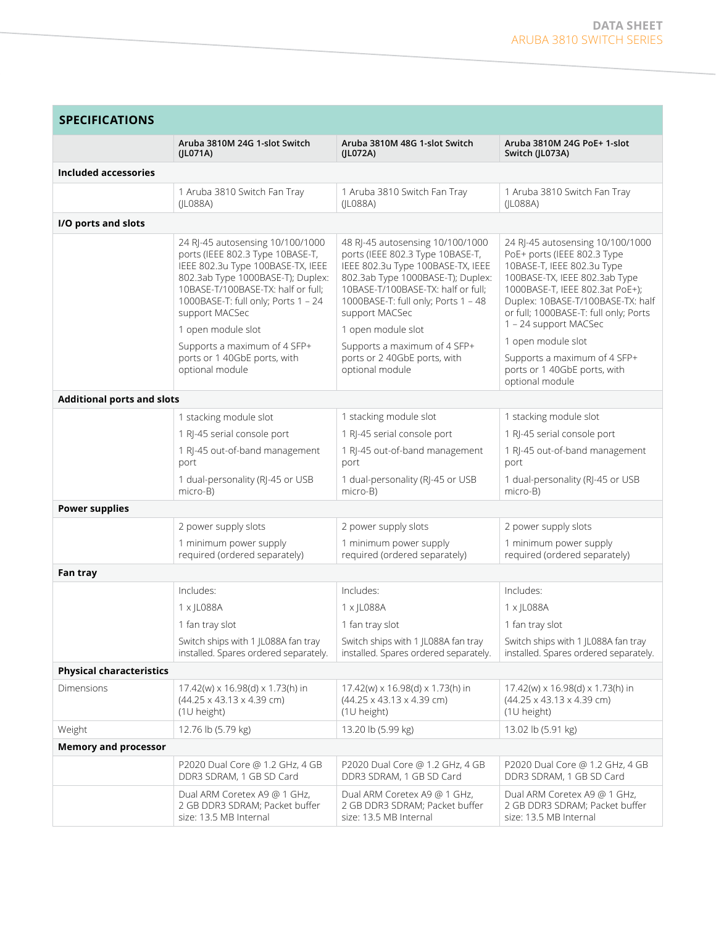| <b>SPECIFICATIONS</b>             |                                                                                                                                                                                                                                                                     |                                                                                                                                                                                                                                                                     |                                                                                                                                                                                                                                                                          |
|-----------------------------------|---------------------------------------------------------------------------------------------------------------------------------------------------------------------------------------------------------------------------------------------------------------------|---------------------------------------------------------------------------------------------------------------------------------------------------------------------------------------------------------------------------------------------------------------------|--------------------------------------------------------------------------------------------------------------------------------------------------------------------------------------------------------------------------------------------------------------------------|
|                                   | Aruba 3810M 24G 1-slot Switch<br>(ILO71A)                                                                                                                                                                                                                           | Aruba 3810M 48G 1-slot Switch<br>(JL072A)                                                                                                                                                                                                                           | Aruba 3810M 24G PoE+ 1-slot<br>Switch (JL073A)                                                                                                                                                                                                                           |
| <b>Included accessories</b>       |                                                                                                                                                                                                                                                                     |                                                                                                                                                                                                                                                                     |                                                                                                                                                                                                                                                                          |
|                                   | 1 Aruba 3810 Switch Fan Tray<br>( LO88A)                                                                                                                                                                                                                            | 1 Aruba 3810 Switch Fan Tray<br>( LO88A)                                                                                                                                                                                                                            | 1 Aruba 3810 Switch Fan Tray<br>( LO88A)                                                                                                                                                                                                                                 |
| I/O ports and slots               |                                                                                                                                                                                                                                                                     |                                                                                                                                                                                                                                                                     |                                                                                                                                                                                                                                                                          |
|                                   | 24 RJ-45 autosensing 10/100/1000<br>ports (IEEE 802.3 Type 10BASE-T,<br>IEEE 802.3u Type 100BASE-TX, IEEE<br>802.3ab Type 1000BASE-T); Duplex:<br>10BASE-T/100BASE-TX: half or full;<br>1000BASE-T: full only; Ports 1 - 24<br>support MACSec<br>1 open module slot | 48 RJ-45 autosensing 10/100/1000<br>ports (IEEE 802.3 Type 10BASE-T,<br>IEEE 802.3u Type 100BASE-TX, IEEE<br>802.3ab Type 1000BASE-T); Duplex:<br>10BASE-T/100BASE-TX: half or full;<br>1000BASE-T: full only; Ports 1 - 48<br>support MACSec<br>1 open module slot | 24 RJ-45 autosensing 10/100/1000<br>PoE+ ports (IEEE 802.3 Type<br>10BASE-T, IEEE 802.3u Type<br>100BASE-TX, IEEE 802.3ab Type<br>1000BASE-T, IEEE 802.3at PoE+);<br>Duplex: 10BASE-T/100BASE-TX: half<br>or full; 1000BASE-T: full only; Ports<br>1 - 24 support MACSec |
|                                   | Supports a maximum of 4 SFP+<br>ports or 1 40GbE ports, with<br>optional module                                                                                                                                                                                     | Supports a maximum of 4 SFP+<br>ports or 2 40GbE ports, with<br>optional module                                                                                                                                                                                     | 1 open module slot<br>Supports a maximum of 4 SFP+<br>ports or 1 40GbE ports, with<br>optional module                                                                                                                                                                    |
| <b>Additional ports and slots</b> |                                                                                                                                                                                                                                                                     |                                                                                                                                                                                                                                                                     |                                                                                                                                                                                                                                                                          |
|                                   | 1 stacking module slot<br>1 RJ-45 serial console port<br>1 RJ-45 out-of-band management<br>port<br>1 dual-personality (RJ-45 or USB<br>micro-B)                                                                                                                     | 1 stacking module slot<br>1 RJ-45 serial console port<br>1 RJ-45 out-of-band management<br>port<br>1 dual-personality (RJ-45 or USB                                                                                                                                 | 1 stacking module slot<br>1 RJ-45 serial console port<br>1 RJ-45 out-of-band management<br>port<br>1 dual-personality (RJ-45 or USB<br>micro-B)                                                                                                                          |
| <b>Power supplies</b>             |                                                                                                                                                                                                                                                                     | micro-B)                                                                                                                                                                                                                                                            |                                                                                                                                                                                                                                                                          |
|                                   | 2 power supply slots                                                                                                                                                                                                                                                | 2 power supply slots                                                                                                                                                                                                                                                | 2 power supply slots                                                                                                                                                                                                                                                     |
|                                   | 1 minimum power supply<br>required (ordered separately)                                                                                                                                                                                                             | 1 minimum power supply<br>required (ordered separately)                                                                                                                                                                                                             | 1 minimum power supply<br>required (ordered separately)                                                                                                                                                                                                                  |
| Fan tray                          |                                                                                                                                                                                                                                                                     |                                                                                                                                                                                                                                                                     |                                                                                                                                                                                                                                                                          |
|                                   | Includes:<br>1 x IL088A<br>1 fan tray slot<br>Switch ships with 1 JL088A fan tray<br>installed. Spares ordered separately.                                                                                                                                          | Includes:<br>1 x IL088A<br>1 fan tray slot<br>Switch ships with 1 JL088A fan tray<br>installed. Spares ordered separately.                                                                                                                                          | Includes:<br>1 x IL088A<br>1 fan tray slot<br>Switch ships with 1 JL088A fan tray<br>installed. Spares ordered separately.                                                                                                                                               |
| <b>Physical characteristics</b>   |                                                                                                                                                                                                                                                                     |                                                                                                                                                                                                                                                                     |                                                                                                                                                                                                                                                                          |
| Dimensions                        | 17.42(w) x 16.98(d) x 1.73(h) in<br>$(44.25 \times 43.13 \times 4.39$ cm)<br>(1U height)                                                                                                                                                                            | 17.42(w) x 16.98(d) x 1.73(h) in<br>$(44.25 \times 43.13 \times 4.39$ cm)<br>$(1U$ height)                                                                                                                                                                          | 17.42(w) x 16.98(d) x 1.73(h) in<br>$(44.25 \times 43.13 \times 4.39$ cm)<br>(1U height)                                                                                                                                                                                 |
| Weight                            | 12.76 lb (5.79 kg)                                                                                                                                                                                                                                                  | 13.20 lb (5.99 kg)                                                                                                                                                                                                                                                  | 13.02 lb (5.91 kg)                                                                                                                                                                                                                                                       |
| <b>Memory and processor</b>       |                                                                                                                                                                                                                                                                     |                                                                                                                                                                                                                                                                     |                                                                                                                                                                                                                                                                          |
|                                   | P2020 Dual Core @ 1.2 GHz, 4 GB<br>DDR3 SDRAM, 1 GB SD Card                                                                                                                                                                                                         | P2020 Dual Core @ 1.2 GHz, 4 GB<br>DDR3 SDRAM, 1 GB SD Card                                                                                                                                                                                                         | P2020 Dual Core @ 1.2 GHz, 4 GB<br>DDR3 SDRAM, 1 GB SD Card                                                                                                                                                                                                              |
|                                   | Dual ARM Coretex A9 @ 1 GHz,<br>2 GB DDR3 SDRAM; Packet buffer<br>size: 13.5 MB Internal                                                                                                                                                                            | Dual ARM Coretex A9 @ 1 GHz,<br>2 GB DDR3 SDRAM; Packet buffer<br>size: 13.5 MB Internal                                                                                                                                                                            | Dual ARM Coretex A9 @ 1 GHz,<br>2 GB DDR3 SDRAM; Packet buffer<br>size: 13.5 MB Internal                                                                                                                                                                                 |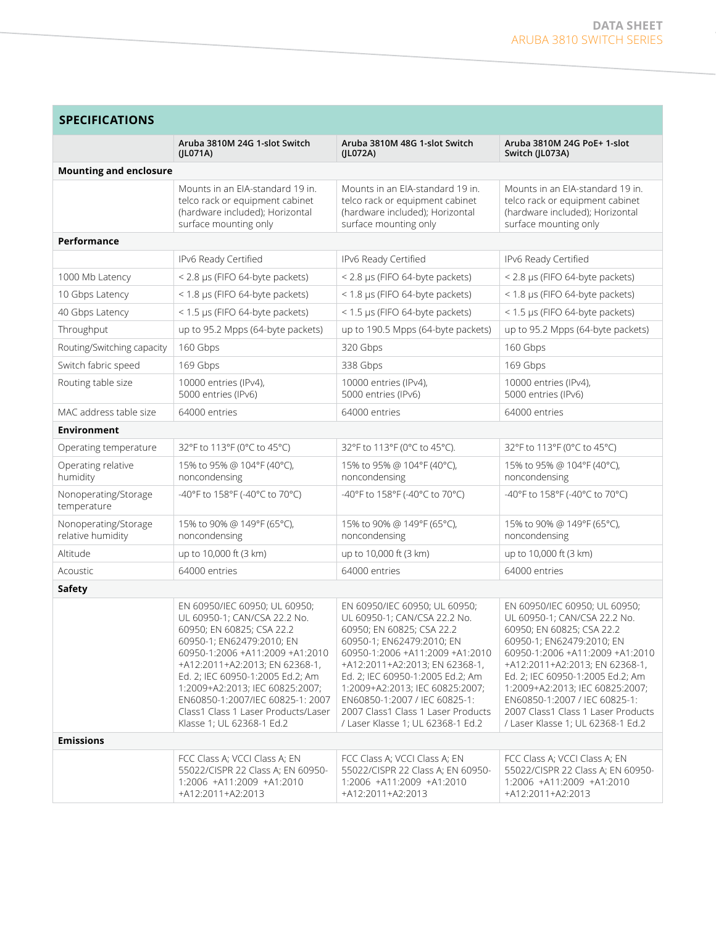| <b>SPECIFICATIONS</b>                     |                                                                                                                                                                                                                                                                                                                                                                             |                                                                                                                                                                                                                                                                                                                                                                                 |                                                                                                                                                                                                                                                                                                                                                                                 |
|-------------------------------------------|-----------------------------------------------------------------------------------------------------------------------------------------------------------------------------------------------------------------------------------------------------------------------------------------------------------------------------------------------------------------------------|---------------------------------------------------------------------------------------------------------------------------------------------------------------------------------------------------------------------------------------------------------------------------------------------------------------------------------------------------------------------------------|---------------------------------------------------------------------------------------------------------------------------------------------------------------------------------------------------------------------------------------------------------------------------------------------------------------------------------------------------------------------------------|
|                                           | Aruba 3810M 24G 1-slot Switch<br>(ILO71A)                                                                                                                                                                                                                                                                                                                                   | Aruba 3810M 48G 1-slot Switch<br>(JL072A)                                                                                                                                                                                                                                                                                                                                       | Aruba 3810M 24G PoE+ 1-slot<br>Switch (JL073A)                                                                                                                                                                                                                                                                                                                                  |
| <b>Mounting and enclosure</b>             |                                                                                                                                                                                                                                                                                                                                                                             |                                                                                                                                                                                                                                                                                                                                                                                 |                                                                                                                                                                                                                                                                                                                                                                                 |
|                                           | Mounts in an EIA-standard 19 in.<br>telco rack or equipment cabinet<br>(hardware included); Horizontal<br>surface mounting only                                                                                                                                                                                                                                             | Mounts in an EIA-standard 19 in.<br>telco rack or equipment cabinet<br>(hardware included); Horizontal<br>surface mounting only                                                                                                                                                                                                                                                 | Mounts in an EIA-standard 19 in.<br>telco rack or equipment cabinet<br>(hardware included); Horizontal<br>surface mounting only                                                                                                                                                                                                                                                 |
| Performance                               |                                                                                                                                                                                                                                                                                                                                                                             |                                                                                                                                                                                                                                                                                                                                                                                 |                                                                                                                                                                                                                                                                                                                                                                                 |
|                                           | IPv6 Ready Certified                                                                                                                                                                                                                                                                                                                                                        | IPv6 Ready Certified                                                                                                                                                                                                                                                                                                                                                            | IPv6 Ready Certified                                                                                                                                                                                                                                                                                                                                                            |
| 1000 Mb Latency                           | < 2.8 µs (FIFO 64-byte packets)                                                                                                                                                                                                                                                                                                                                             | < 2.8 µs (FIFO 64-byte packets)                                                                                                                                                                                                                                                                                                                                                 | < 2.8 µs (FIFO 64-byte packets)                                                                                                                                                                                                                                                                                                                                                 |
| 10 Gbps Latency                           | < 1.8 µs (FIFO 64-byte packets)                                                                                                                                                                                                                                                                                                                                             | < 1.8 µs (FIFO 64-byte packets)                                                                                                                                                                                                                                                                                                                                                 | < 1.8 µs (FIFO 64-byte packets)                                                                                                                                                                                                                                                                                                                                                 |
| 40 Gbps Latency                           | < 1.5 µs (FIFO 64-byte packets)                                                                                                                                                                                                                                                                                                                                             | < 1.5 µs (FIFO 64-byte packets)                                                                                                                                                                                                                                                                                                                                                 | < 1.5 µs (FIFO 64-byte packets)                                                                                                                                                                                                                                                                                                                                                 |
| Throughput                                | up to 95.2 Mpps (64-byte packets)                                                                                                                                                                                                                                                                                                                                           | up to 190.5 Mpps (64-byte packets)                                                                                                                                                                                                                                                                                                                                              | up to 95.2 Mpps (64-byte packets)                                                                                                                                                                                                                                                                                                                                               |
| Routing/Switching capacity                | 160 Gbps                                                                                                                                                                                                                                                                                                                                                                    | 320 Gbps                                                                                                                                                                                                                                                                                                                                                                        | 160 Gbps                                                                                                                                                                                                                                                                                                                                                                        |
| Switch fabric speed                       | 169 Gbps                                                                                                                                                                                                                                                                                                                                                                    | 338 Gbps                                                                                                                                                                                                                                                                                                                                                                        | 169 Gbps                                                                                                                                                                                                                                                                                                                                                                        |
| Routing table size                        | 10000 entries (IPv4),<br>5000 entries (IPv6)                                                                                                                                                                                                                                                                                                                                | 10000 entries (IPv4),<br>5000 entries (IPv6)                                                                                                                                                                                                                                                                                                                                    | 10000 entries (IPv4),<br>5000 entries (IPv6)                                                                                                                                                                                                                                                                                                                                    |
| MAC address table size                    | 64000 entries                                                                                                                                                                                                                                                                                                                                                               | 64000 entries                                                                                                                                                                                                                                                                                                                                                                   | 64000 entries                                                                                                                                                                                                                                                                                                                                                                   |
| <b>Environment</b>                        |                                                                                                                                                                                                                                                                                                                                                                             |                                                                                                                                                                                                                                                                                                                                                                                 |                                                                                                                                                                                                                                                                                                                                                                                 |
| Operating temperature                     | 32°F to 113°F (0°C to 45°C)                                                                                                                                                                                                                                                                                                                                                 | 32°F to 113°F (0°C to 45°C).                                                                                                                                                                                                                                                                                                                                                    | 32°F to 113°F (0°C to 45°C)                                                                                                                                                                                                                                                                                                                                                     |
| Operating relative<br>humidity            | 15% to 95% @ 104°F (40°C),<br>noncondensing                                                                                                                                                                                                                                                                                                                                 | 15% to 95% @ 104°F (40°C),<br>noncondensing                                                                                                                                                                                                                                                                                                                                     | 15% to 95% @ 104°F (40°C),<br>noncondensing                                                                                                                                                                                                                                                                                                                                     |
| Nonoperating/Storage<br>temperature       | -40°F to 158°F (-40°C to 70°C)                                                                                                                                                                                                                                                                                                                                              | -40°F to 158°F (-40°C to 70°C)                                                                                                                                                                                                                                                                                                                                                  | -40°F to 158°F (-40°C to 70°C)                                                                                                                                                                                                                                                                                                                                                  |
| Nonoperating/Storage<br>relative humidity | 15% to 90% @ 149°F (65°C),<br>noncondensing                                                                                                                                                                                                                                                                                                                                 | 15% to 90% @ 149°F (65°C),<br>noncondensing                                                                                                                                                                                                                                                                                                                                     | 15% to 90% @ 149°F (65°C),<br>noncondensing                                                                                                                                                                                                                                                                                                                                     |
| Altitude                                  | up to 10,000 ft (3 km)                                                                                                                                                                                                                                                                                                                                                      | up to 10,000 ft (3 km)                                                                                                                                                                                                                                                                                                                                                          | up to 10,000 ft (3 km)                                                                                                                                                                                                                                                                                                                                                          |
| Acoustic                                  | 64000 entries                                                                                                                                                                                                                                                                                                                                                               | 64000 entries                                                                                                                                                                                                                                                                                                                                                                   | 64000 entries                                                                                                                                                                                                                                                                                                                                                                   |
| Safety                                    |                                                                                                                                                                                                                                                                                                                                                                             |                                                                                                                                                                                                                                                                                                                                                                                 |                                                                                                                                                                                                                                                                                                                                                                                 |
|                                           | EN 60950/IEC 60950; UL 60950;<br>UL 60950-1; CAN/CSA 22.2 No.<br>60950; EN 60825; CSA 22.2<br>60950-1; EN62479:2010; EN<br>60950-1:2006 +A11:2009 +A1:2010<br>+A12:2011+A2:2013; EN 62368-1,<br>Ed. 2: IEC 60950-1:2005 Ed.2: Am<br>1:2009+A2:2013; IEC 60825:2007;<br>EN60850-1:2007/IEC 60825-1: 2007<br>Class1 Class 1 Laser Products/Laser<br>Klasse 1; UL 62368-1 Ed.2 | EN 60950/IEC 60950; UL 60950;<br>UL 60950-1; CAN/CSA 22.2 No.<br>60950; EN 60825; CSA 22.2<br>60950-1; EN62479:2010; EN<br>60950-1:2006 +A11:2009 +A1:2010<br>+A12:2011+A2:2013; EN 62368-1,<br>Ed. 2; IEC 60950-1:2005 Ed.2; Am<br>1:2009+A2:2013; IEC 60825:2007;<br>EN60850-1:2007 / IEC 60825-1:<br>2007 Class1 Class 1 Laser Products<br>/ Laser Klasse 1: UL 62368-1 Ed.2 | EN 60950/IEC 60950; UL 60950;<br>UL 60950-1; CAN/CSA 22.2 No.<br>60950; EN 60825; CSA 22.2<br>60950-1; EN62479:2010; EN<br>60950-1:2006 +A11:2009 +A1:2010<br>+A12:2011+A2:2013; EN 62368-1,<br>Ed. 2: IEC 60950-1:2005 Ed.2: Am<br>1:2009+A2:2013; IEC 60825:2007;<br>EN60850-1:2007 / IEC 60825-1:<br>2007 Class1 Class 1 Laser Products<br>/ Laser Klasse 1: UL 62368-1 Ed.2 |
| <b>Emissions</b>                          |                                                                                                                                                                                                                                                                                                                                                                             |                                                                                                                                                                                                                                                                                                                                                                                 |                                                                                                                                                                                                                                                                                                                                                                                 |
|                                           | FCC Class A; VCCI Class A; EN<br>55022/CISPR 22 Class A; EN 60950-<br>1:2006 +A11:2009 +A1:2010<br>+A12:2011+A2:2013                                                                                                                                                                                                                                                        | FCC Class A; VCCI Class A; EN<br>55022/CISPR 22 Class A; EN 60950-<br>1:2006 +A11:2009 +A1:2010<br>+A12:2011+A2:2013                                                                                                                                                                                                                                                            | FCC Class A; VCCI Class A; EN<br>55022/CISPR 22 Class A; EN 60950-<br>1:2006 +A11:2009 +A1:2010<br>+A12:2011+A2:2013                                                                                                                                                                                                                                                            |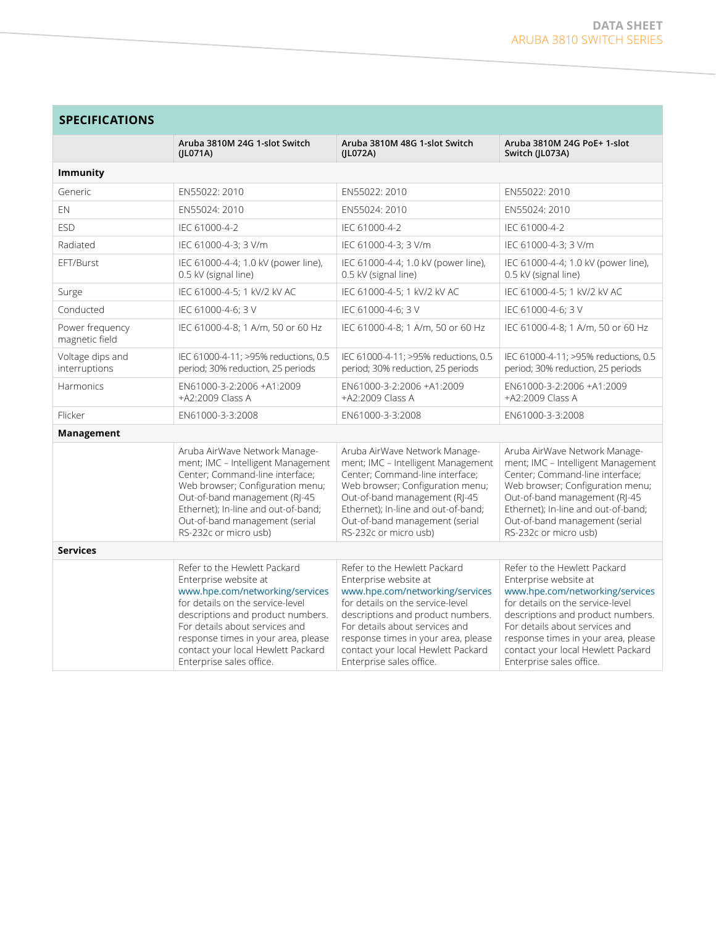the control of the control of

| <b>SPECIFICATIONS</b>             |                                                                                                                                                                                                                                                                                                              |                                                                                                                                                                                                                                                                                                              |                                                                                                                                                                                                                                                                                                              |  |
|-----------------------------------|--------------------------------------------------------------------------------------------------------------------------------------------------------------------------------------------------------------------------------------------------------------------------------------------------------------|--------------------------------------------------------------------------------------------------------------------------------------------------------------------------------------------------------------------------------------------------------------------------------------------------------------|--------------------------------------------------------------------------------------------------------------------------------------------------------------------------------------------------------------------------------------------------------------------------------------------------------------|--|
|                                   | Aruba 3810M 24G 1-slot Switch<br>(ILO71A)                                                                                                                                                                                                                                                                    | Aruba 3810M 48G 1-slot Switch<br>(ILO72A)                                                                                                                                                                                                                                                                    | Aruba 3810M 24G PoE+ 1-slot<br>Switch (JL073A)                                                                                                                                                                                                                                                               |  |
| <b>Immunity</b>                   |                                                                                                                                                                                                                                                                                                              |                                                                                                                                                                                                                                                                                                              |                                                                                                                                                                                                                                                                                                              |  |
| Generic                           | EN55022: 2010                                                                                                                                                                                                                                                                                                | EN55022: 2010                                                                                                                                                                                                                                                                                                | EN55022: 2010                                                                                                                                                                                                                                                                                                |  |
| EN                                | EN55024: 2010                                                                                                                                                                                                                                                                                                | EN55024: 2010                                                                                                                                                                                                                                                                                                | EN55024: 2010                                                                                                                                                                                                                                                                                                |  |
| <b>ESD</b>                        | IEC 61000-4-2                                                                                                                                                                                                                                                                                                | IEC 61000-4-2                                                                                                                                                                                                                                                                                                | IEC 61000-4-2                                                                                                                                                                                                                                                                                                |  |
| Radiated                          | IEC 61000-4-3; 3 V/m                                                                                                                                                                                                                                                                                         | IEC 61000-4-3; 3 V/m                                                                                                                                                                                                                                                                                         | IEC 61000-4-3; 3 V/m                                                                                                                                                                                                                                                                                         |  |
| EFT/Burst                         | IEC 61000-4-4; 1.0 kV (power line),<br>0.5 kV (signal line)                                                                                                                                                                                                                                                  | IEC 61000-4-4; 1.0 kV (power line),<br>0.5 kV (signal line)                                                                                                                                                                                                                                                  | IEC 61000-4-4; 1.0 kV (power line),<br>0.5 kV (signal line)                                                                                                                                                                                                                                                  |  |
| Surge                             | IEC 61000-4-5; 1 kV/2 kV AC                                                                                                                                                                                                                                                                                  | IEC 61000-4-5; 1 kV/2 kV AC                                                                                                                                                                                                                                                                                  | IEC 61000-4-5; 1 kV/2 kV AC                                                                                                                                                                                                                                                                                  |  |
| Conducted                         | IEC 61000-4-6; 3 V                                                                                                                                                                                                                                                                                           | IEC 61000-4-6; 3 V                                                                                                                                                                                                                                                                                           | IEC 61000-4-6; 3 V                                                                                                                                                                                                                                                                                           |  |
| Power frequency<br>magnetic field | IEC 61000-4-8; 1 A/m, 50 or 60 Hz                                                                                                                                                                                                                                                                            | IEC 61000-4-8; 1 A/m, 50 or 60 Hz                                                                                                                                                                                                                                                                            | IEC 61000-4-8; 1 A/m, 50 or 60 Hz                                                                                                                                                                                                                                                                            |  |
| Voltage dips and<br>interruptions | IEC 61000-4-11; >95% reductions, 0.5<br>period; 30% reduction, 25 periods                                                                                                                                                                                                                                    | IEC 61000-4-11; >95% reductions, 0.5<br>period; 30% reduction, 25 periods                                                                                                                                                                                                                                    | IEC 61000-4-11; >95% reductions, 0.5<br>period; 30% reduction, 25 periods                                                                                                                                                                                                                                    |  |
| <b>Harmonics</b>                  | EN61000-3-2:2006 +A1:2009<br>+A2:2009 Class A                                                                                                                                                                                                                                                                | EN61000-3-2:2006 +A1:2009<br>+A2:2009 Class A                                                                                                                                                                                                                                                                | EN61000-3-2:2006 +A1:2009<br>+A2:2009 Class A                                                                                                                                                                                                                                                                |  |
| Flicker                           | EN61000-3-3:2008                                                                                                                                                                                                                                                                                             | EN61000-3-3:2008                                                                                                                                                                                                                                                                                             | EN61000-3-3:2008                                                                                                                                                                                                                                                                                             |  |
| Management                        |                                                                                                                                                                                                                                                                                                              |                                                                                                                                                                                                                                                                                                              |                                                                                                                                                                                                                                                                                                              |  |
|                                   | Aruba AirWave Network Manage-<br>ment; IMC - Intelligent Management<br>Center; Command-line interface;<br>Web browser; Configuration menu;<br>Out-of-band management (RJ-45<br>Ethernet); In-line and out-of-band;<br>Out-of-band management (serial<br>RS-232c or micro usb)                                | Aruba AirWave Network Manage-<br>ment; IMC - Intelligent Management<br>Center; Command-line interface;<br>Web browser; Configuration menu;<br>Out-of-band management (RJ-45<br>Ethernet); In-line and out-of-band;<br>Out-of-band management (serial<br>RS-232c or micro usb)                                | Aruba AirWave Network Manage-<br>ment; IMC - Intelligent Management<br>Center; Command-line interface;<br>Web browser; Configuration menu;<br>Out-of-band management (RJ-45<br>Ethernet); In-line and out-of-band;<br>Out-of-band management (serial<br>RS-232c or micro usb)                                |  |
| <b>Services</b>                   |                                                                                                                                                                                                                                                                                                              |                                                                                                                                                                                                                                                                                                              |                                                                                                                                                                                                                                                                                                              |  |
|                                   | Refer to the Hewlett Packard<br>Enterprise website at<br>www.hpe.com/networking/services<br>for details on the service-level<br>descriptions and product numbers.<br>For details about services and<br>response times in your area, please<br>contact your local Hewlett Packard<br>Enterprise sales office. | Refer to the Hewlett Packard<br>Enterprise website at<br>www.hpe.com/networking/services<br>for details on the service-level<br>descriptions and product numbers.<br>For details about services and<br>response times in your area, please<br>contact your local Hewlett Packard<br>Enterprise sales office. | Refer to the Hewlett Packard<br>Enterprise website at<br>www.hpe.com/networking/services<br>for details on the service-level<br>descriptions and product numbers.<br>For details about services and<br>response times in your area, please<br>contact your local Hewlett Packard<br>Enterprise sales office. |  |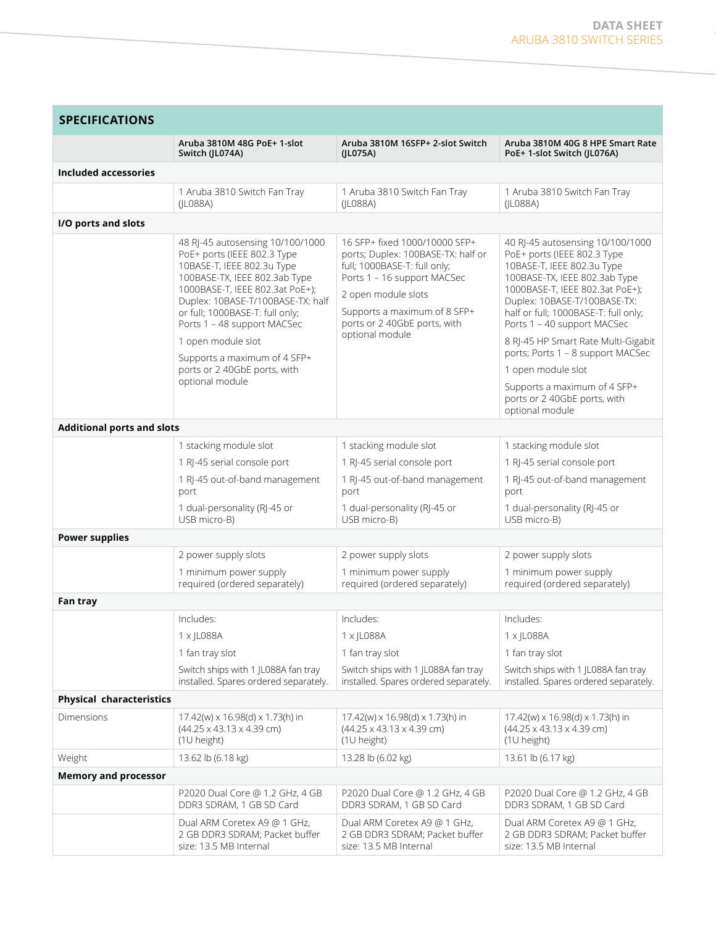| <b>SPECIFICATIONS</b>             |                                                                                                                                                                                                                                                                                                                                                                                   |                                                                                                                                                                                                                                              |                                                                                                                                                                                                                                                                                                                                                                                                                                                               |  |
|-----------------------------------|-----------------------------------------------------------------------------------------------------------------------------------------------------------------------------------------------------------------------------------------------------------------------------------------------------------------------------------------------------------------------------------|----------------------------------------------------------------------------------------------------------------------------------------------------------------------------------------------------------------------------------------------|---------------------------------------------------------------------------------------------------------------------------------------------------------------------------------------------------------------------------------------------------------------------------------------------------------------------------------------------------------------------------------------------------------------------------------------------------------------|--|
|                                   | Aruba 3810M 48G PoE+ 1-slot<br>Switch (JL074A)                                                                                                                                                                                                                                                                                                                                    | Aruba 3810M 16SFP+ 2-slot Switch<br>(JL075A)                                                                                                                                                                                                 | Aruba 3810M 40G 8 HPE Smart Rate<br>PoE+ 1-slot Switch (JL076A)                                                                                                                                                                                                                                                                                                                                                                                               |  |
| <b>Included accessories</b>       |                                                                                                                                                                                                                                                                                                                                                                                   |                                                                                                                                                                                                                                              |                                                                                                                                                                                                                                                                                                                                                                                                                                                               |  |
|                                   | 1 Aruba 3810 Switch Fan Tray<br>(JL088A)                                                                                                                                                                                                                                                                                                                                          | 1 Aruba 3810 Switch Fan Tray<br>( LO88A)                                                                                                                                                                                                     | 1 Aruba 3810 Switch Fan Tray<br>(IL088A)                                                                                                                                                                                                                                                                                                                                                                                                                      |  |
| I/O ports and slots               |                                                                                                                                                                                                                                                                                                                                                                                   |                                                                                                                                                                                                                                              |                                                                                                                                                                                                                                                                                                                                                                                                                                                               |  |
|                                   | 48 RJ-45 autosensing 10/100/1000<br>PoE+ ports (IEEE 802.3 Type<br>10BASE-T, IEEE 802.3u Type<br>100BASE-TX, IEEE 802.3ab Type<br>1000BASE-T, IEEE 802.3at PoE+);<br>Duplex: 10BASE-T/100BASE-TX: half<br>or full; 1000BASE-T: full only;<br>Ports 1 - 48 support MACSec<br>1 open module slot<br>Supports a maximum of 4 SFP+<br>ports or 2 40GbE ports, with<br>optional module | 16 SFP+ fixed 1000/10000 SFP+<br>ports; Duplex: 100BASE-TX: half or<br>full; 1000BASE-T: full only;<br>Ports 1 - 16 support MACSec<br>2 open module slots<br>Supports a maximum of 8 SFP+<br>ports or 2 40GbE ports, with<br>optional module | 40 RJ-45 autosensing 10/100/1000<br>PoE+ ports (IEEE 802.3 Type<br>10BASE-T, IEEE 802.3u Type<br>100BASE-TX, IEEE 802.3ab Type<br>1000BASE-T, IEEE 802.3at PoE+);<br>Duplex: 10BASE-T/100BASE-TX:<br>half or full; 1000BASE-T: full only;<br>Ports 1 - 40 support MACSec<br>8 RI-45 HP Smart Rate Multi-Gigabit<br>ports; Ports 1 - 8 support MACSec<br>1 open module slot<br>Supports a maximum of 4 SFP+<br>ports or 2 40GbE ports, with<br>optional module |  |
| <b>Additional ports and slots</b> |                                                                                                                                                                                                                                                                                                                                                                                   |                                                                                                                                                                                                                                              |                                                                                                                                                                                                                                                                                                                                                                                                                                                               |  |
|                                   | 1 stacking module slot<br>1 RJ-45 serial console port<br>1 RJ-45 out-of-band management<br>port<br>1 dual-personality (RJ-45 or<br>USB micro-B)                                                                                                                                                                                                                                   | 1 stacking module slot<br>1 RJ-45 serial console port<br>1 RJ-45 out-of-band management<br>port<br>1 dual-personality (RJ-45 or<br>USB micro-B)                                                                                              | 1 stacking module slot<br>1 RJ-45 serial console port<br>1 RJ-45 out-of-band management<br>port<br>1 dual-personality (RJ-45 or<br>USB micro-B)                                                                                                                                                                                                                                                                                                               |  |
| <b>Power supplies</b>             |                                                                                                                                                                                                                                                                                                                                                                                   |                                                                                                                                                                                                                                              |                                                                                                                                                                                                                                                                                                                                                                                                                                                               |  |
|                                   | 2 power supply slots<br>1 minimum power supply<br>required (ordered separately)                                                                                                                                                                                                                                                                                                   | 2 power supply slots<br>1 minimum power supply<br>required (ordered separately)                                                                                                                                                              | 2 power supply slots<br>1 minimum power supply<br>required (ordered separately)                                                                                                                                                                                                                                                                                                                                                                               |  |
| Fan tray                          |                                                                                                                                                                                                                                                                                                                                                                                   |                                                                                                                                                                                                                                              |                                                                                                                                                                                                                                                                                                                                                                                                                                                               |  |
|                                   | Includes:<br>$1 \times$ JL088A<br>1 fan tray slot<br>Switch ships with 1 JL088A fan tray<br>installed. Spares ordered separately.                                                                                                                                                                                                                                                 | Includes:<br>$1 \times$ JL088A<br>1 fan tray slot<br>Switch ships with 1 JL088A fan tray<br>installed. Spares ordered separately.                                                                                                            | Includes:<br>$1 \times$ JL088A<br>1 fan tray slot<br>Switch ships with 1 JL088A fan tray<br>installed. Spares ordered separately.                                                                                                                                                                                                                                                                                                                             |  |
| <b>Physical characteristics</b>   |                                                                                                                                                                                                                                                                                                                                                                                   |                                                                                                                                                                                                                                              |                                                                                                                                                                                                                                                                                                                                                                                                                                                               |  |
| Dimensions                        | 17.42(w) x 16.98(d) x 1.73(h) in<br>$(44.25 \times 43.13 \times 4.39$ cm)<br>(1U height)                                                                                                                                                                                                                                                                                          | 17.42(w) x 16.98(d) x 1.73(h) in<br>$(44.25 \times 43.13 \times 4.39$ cm)<br>(1U height)                                                                                                                                                     | 17.42(w) x 16.98(d) x 1.73(h) in<br>$(44.25 \times 43.13 \times 4.39$ cm)<br>(1U height)                                                                                                                                                                                                                                                                                                                                                                      |  |
| Weight                            | 13.62 lb (6.18 kg)                                                                                                                                                                                                                                                                                                                                                                | 13.28 lb (6.02 kg)                                                                                                                                                                                                                           | 13.61 lb (6.17 kg)                                                                                                                                                                                                                                                                                                                                                                                                                                            |  |
| <b>Memory and processor</b>       | P2020 Dual Core @ 1.2 GHz, 4 GB<br>DDR3 SDRAM, 1 GB SD Card                                                                                                                                                                                                                                                                                                                       | P2020 Dual Core @ 1.2 GHz, 4 GB<br>DDR3 SDRAM, 1 GB SD Card                                                                                                                                                                                  | P2020 Dual Core @ 1.2 GHz, 4 GB<br>DDR3 SDRAM, 1 GB SD Card                                                                                                                                                                                                                                                                                                                                                                                                   |  |
|                                   | Dual ARM Coretex A9 @ 1 GHz,<br>2 GB DDR3 SDRAM; Packet buffer<br>size: 13.5 MB Internal                                                                                                                                                                                                                                                                                          | Dual ARM Coretex A9 @ 1 GHz,<br>2 GB DDR3 SDRAM; Packet buffer<br>size: 13.5 MB Internal                                                                                                                                                     | Dual ARM Coretex A9 @ 1 GHz,<br>2 GB DDR3 SDRAM; Packet buffer<br>size: 13.5 MB Internal                                                                                                                                                                                                                                                                                                                                                                      |  |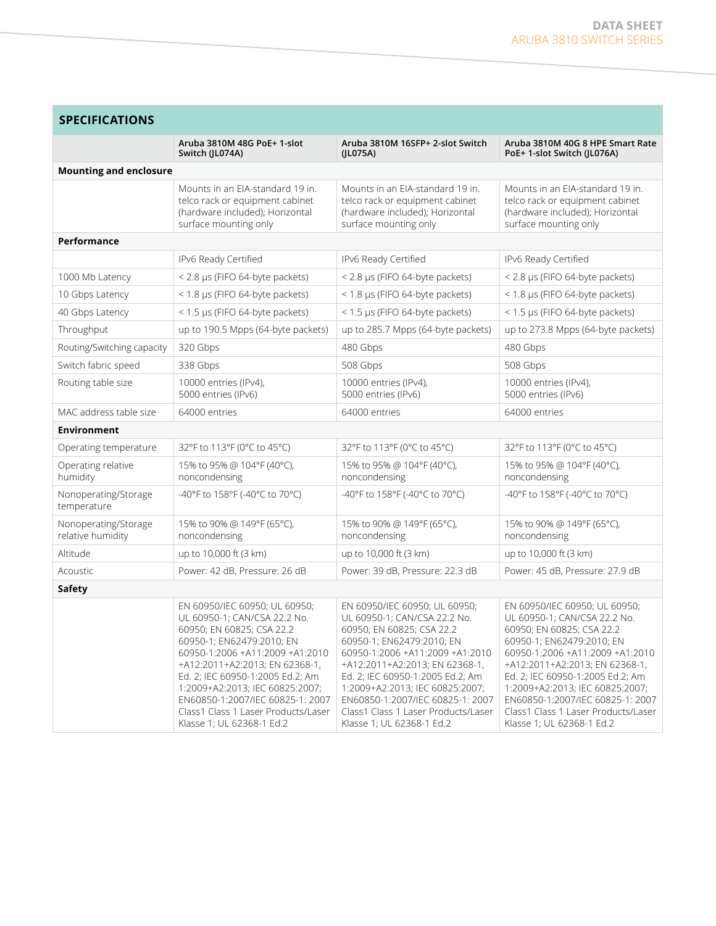| <b>SPECIFICATIONS</b>                     |                                                                                                                                                                                                                                                                                                                                                                             |                                                                                                                                                                                                                                                                                                                                                                             |                                                                                                                                                                                                                                                                                                                                                                             |  |
|-------------------------------------------|-----------------------------------------------------------------------------------------------------------------------------------------------------------------------------------------------------------------------------------------------------------------------------------------------------------------------------------------------------------------------------|-----------------------------------------------------------------------------------------------------------------------------------------------------------------------------------------------------------------------------------------------------------------------------------------------------------------------------------------------------------------------------|-----------------------------------------------------------------------------------------------------------------------------------------------------------------------------------------------------------------------------------------------------------------------------------------------------------------------------------------------------------------------------|--|
|                                           | Aruba 3810M 48G PoE+ 1-slot<br>Switch (JL074A)                                                                                                                                                                                                                                                                                                                              | Aruba 3810M 16SFP+ 2-slot Switch<br>(JL075A)                                                                                                                                                                                                                                                                                                                                | Aruba 3810M 40G 8 HPE Smart Rate<br>PoE+ 1-slot Switch (JL076A)                                                                                                                                                                                                                                                                                                             |  |
| <b>Mounting and enclosure</b>             |                                                                                                                                                                                                                                                                                                                                                                             |                                                                                                                                                                                                                                                                                                                                                                             |                                                                                                                                                                                                                                                                                                                                                                             |  |
|                                           | Mounts in an FIA-standard 19 in.<br>telco rack or equipment cabinet<br>(hardware included); Horizontal<br>surface mounting only                                                                                                                                                                                                                                             | Mounts in an EIA-standard 19 in.<br>telco rack or equipment cabinet<br>(hardware included); Horizontal<br>surface mounting only                                                                                                                                                                                                                                             | Mounts in an EIA-standard 19 in.<br>telco rack or equipment cabinet<br>(hardware included); Horizontal<br>surface mounting only                                                                                                                                                                                                                                             |  |
| Performance                               |                                                                                                                                                                                                                                                                                                                                                                             |                                                                                                                                                                                                                                                                                                                                                                             |                                                                                                                                                                                                                                                                                                                                                                             |  |
|                                           | IPv6 Ready Certified                                                                                                                                                                                                                                                                                                                                                        | IPv6 Ready Certified                                                                                                                                                                                                                                                                                                                                                        | IPv6 Ready Certified                                                                                                                                                                                                                                                                                                                                                        |  |
| 1000 Mb Latency                           | < 2.8 µs (FIFO 64-byte packets)                                                                                                                                                                                                                                                                                                                                             | < 2.8 µs (FIFO 64-byte packets)                                                                                                                                                                                                                                                                                                                                             | < 2.8 µs (FIFO 64-byte packets)                                                                                                                                                                                                                                                                                                                                             |  |
| 10 Gbps Latency                           | < 1.8 µs (FIFO 64-byte packets)                                                                                                                                                                                                                                                                                                                                             | < 1.8 µs (FIFO 64-byte packets)                                                                                                                                                                                                                                                                                                                                             | < 1.8 µs (FIFO 64-byte packets)                                                                                                                                                                                                                                                                                                                                             |  |
| 40 Gbps Latency                           | < 1.5 µs (FIFO 64-byte packets)                                                                                                                                                                                                                                                                                                                                             | < 1.5 µs (FIFO 64-byte packets)                                                                                                                                                                                                                                                                                                                                             | < 1.5 µs (FIFO 64-byte packets)                                                                                                                                                                                                                                                                                                                                             |  |
| Throughput                                | up to 190.5 Mpps (64-byte packets)                                                                                                                                                                                                                                                                                                                                          | up to 285.7 Mpps (64-byte packets)                                                                                                                                                                                                                                                                                                                                          | up to 273.8 Mpps (64-byte packets)                                                                                                                                                                                                                                                                                                                                          |  |
| Routing/Switching capacity                | 320 Gbps                                                                                                                                                                                                                                                                                                                                                                    | 480 Gbps                                                                                                                                                                                                                                                                                                                                                                    | 480 Gbps                                                                                                                                                                                                                                                                                                                                                                    |  |
| Switch fabric speed                       | 338 Gbps                                                                                                                                                                                                                                                                                                                                                                    | 508 Gbps                                                                                                                                                                                                                                                                                                                                                                    | 508 Gbps                                                                                                                                                                                                                                                                                                                                                                    |  |
| Routing table size                        | 10000 entries (IPv4),<br>5000 entries (IPv6)                                                                                                                                                                                                                                                                                                                                | 10000 entries (IPv4),<br>5000 entries (IPv6)                                                                                                                                                                                                                                                                                                                                | 10000 entries (IPv4),<br>5000 entries (IPv6)                                                                                                                                                                                                                                                                                                                                |  |
| MAC address table size                    | 64000 entries                                                                                                                                                                                                                                                                                                                                                               | 64000 entries                                                                                                                                                                                                                                                                                                                                                               | 64000 entries                                                                                                                                                                                                                                                                                                                                                               |  |
| <b>Environment</b>                        |                                                                                                                                                                                                                                                                                                                                                                             |                                                                                                                                                                                                                                                                                                                                                                             |                                                                                                                                                                                                                                                                                                                                                                             |  |
| Operating temperature                     | 32°F to 113°F (0°C to 45°C)                                                                                                                                                                                                                                                                                                                                                 | 32°F to 113°F (0°C to 45°C)                                                                                                                                                                                                                                                                                                                                                 | 32°F to 113°F (0°C to 45°C)                                                                                                                                                                                                                                                                                                                                                 |  |
| Operating relative<br>humidity            | 15% to 95% @ 104°F (40°C),<br>noncondensing                                                                                                                                                                                                                                                                                                                                 | 15% to 95% @ 104°F (40°C),<br>noncondensing                                                                                                                                                                                                                                                                                                                                 | 15% to 95% @ 104°F (40°C),<br>noncondensing                                                                                                                                                                                                                                                                                                                                 |  |
| Nonoperating/Storage<br>temperature       | -40°F to 158°F (-40°C to 70°C)                                                                                                                                                                                                                                                                                                                                              | -40°F to 158°F (-40°C to 70°C)                                                                                                                                                                                                                                                                                                                                              | -40°F to 158°F (-40°C to 70°C)                                                                                                                                                                                                                                                                                                                                              |  |
| Nonoperating/Storage<br>relative humidity | 15% to 90% @ 149°F (65°C),<br>noncondensing                                                                                                                                                                                                                                                                                                                                 | 15% to 90% @ 149°F (65°C),<br>noncondensing                                                                                                                                                                                                                                                                                                                                 | 15% to 90% @ 149°F (65°C),<br>noncondensing                                                                                                                                                                                                                                                                                                                                 |  |
| Altitude                                  | up to 10,000 ft (3 km)                                                                                                                                                                                                                                                                                                                                                      | up to 10,000 ft (3 km)                                                                                                                                                                                                                                                                                                                                                      | up to 10,000 ft (3 km)                                                                                                                                                                                                                                                                                                                                                      |  |
| Acoustic                                  | Power: 42 dB, Pressure: 26 dB                                                                                                                                                                                                                                                                                                                                               | Power: 39 dB, Pressure: 22.3 dB                                                                                                                                                                                                                                                                                                                                             | Power: 45 dB, Pressure: 27.9 dB                                                                                                                                                                                                                                                                                                                                             |  |
| <b>Safety</b>                             |                                                                                                                                                                                                                                                                                                                                                                             |                                                                                                                                                                                                                                                                                                                                                                             |                                                                                                                                                                                                                                                                                                                                                                             |  |
|                                           | EN 60950/IEC 60950; UL 60950;<br>UL 60950-1; CAN/CSA 22.2 No.<br>60950; EN 60825; CSA 22.2<br>60950-1; EN62479:2010; EN<br>60950-1:2006 +A11:2009 +A1:2010<br>+A12:2011+A2:2013; EN 62368-1,<br>Ed. 2; IEC 60950-1:2005 Ed.2; Am<br>1:2009+A2:2013; IEC 60825:2007;<br>EN60850-1:2007/IEC 60825-1: 2007<br>Class1 Class 1 Laser Products/Laser<br>Klasse 1; UL 62368-1 Ed.2 | EN 60950/IEC 60950; UL 60950;<br>UL 60950-1; CAN/CSA 22.2 No.<br>60950; EN 60825; CSA 22.2<br>60950-1; EN62479:2010; EN<br>60950-1:2006 +A11:2009 +A1:2010<br>+A12:2011+A2:2013; EN 62368-1,<br>Ed. 2; IEC 60950-1:2005 Ed.2; Am<br>1:2009+A2:2013; IEC 60825:2007;<br>EN60850-1:2007/IEC 60825-1: 2007<br>Class1 Class 1 Laser Products/Laser<br>Klasse 1; UL 62368-1 Ed.2 | EN 60950/IEC 60950; UL 60950;<br>UL 60950-1; CAN/CSA 22.2 No.<br>60950; EN 60825; CSA 22.2<br>60950-1; EN62479:2010; EN<br>60950-1:2006 +A11:2009 +A1:2010<br>+A12:2011+A2:2013; EN 62368-1,<br>Ed. 2; IEC 60950-1:2005 Ed.2; Am<br>1:2009+A2:2013; IEC 60825:2007;<br>EN60850-1:2007/IEC 60825-1: 2007<br>Class1 Class 1 Laser Products/Laser<br>Klasse 1; UL 62368-1 Ed.2 |  |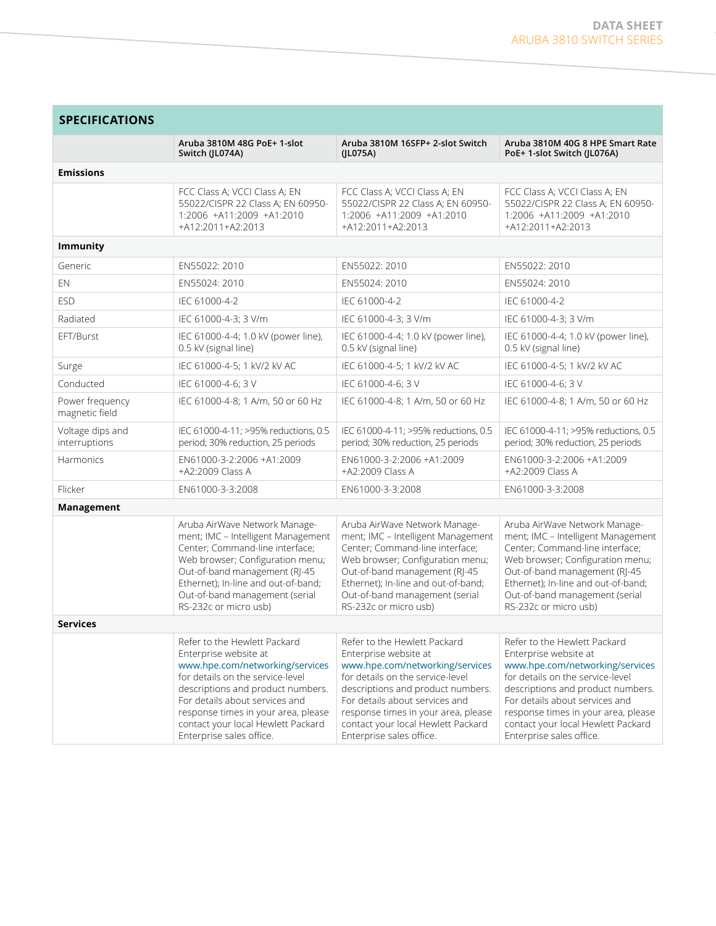the control of the control of the control of

| <b>SPECIFICATIONS</b>             |                                                                                                                                                                                                                                                                                                              |                                                                                                                                                                                                                                                                                                              |                                                                                                                                                                                                                                                                                                              |  |
|-----------------------------------|--------------------------------------------------------------------------------------------------------------------------------------------------------------------------------------------------------------------------------------------------------------------------------------------------------------|--------------------------------------------------------------------------------------------------------------------------------------------------------------------------------------------------------------------------------------------------------------------------------------------------------------|--------------------------------------------------------------------------------------------------------------------------------------------------------------------------------------------------------------------------------------------------------------------------------------------------------------|--|
|                                   | Aruba 3810M 48G PoE+ 1-slot<br>Switch (JL074A)                                                                                                                                                                                                                                                               | Aruba 3810M 16SFP+ 2-slot Switch<br>(JL075A)                                                                                                                                                                                                                                                                 | Aruba 3810M 40G 8 HPE Smart Rate<br>PoE+ 1-slot Switch (JL076A)                                                                                                                                                                                                                                              |  |
| <b>Emissions</b>                  |                                                                                                                                                                                                                                                                                                              |                                                                                                                                                                                                                                                                                                              |                                                                                                                                                                                                                                                                                                              |  |
|                                   | FCC Class A; VCCI Class A; EN<br>55022/CISPR 22 Class A; EN 60950-<br>1:2006 +A11:2009 +A1:2010<br>+A12:2011+A2:2013                                                                                                                                                                                         | FCC Class A; VCCI Class A; EN<br>55022/CISPR 22 Class A; EN 60950-<br>1:2006 +A11:2009 +A1:2010<br>+A12:2011+A2:2013                                                                                                                                                                                         | FCC Class A; VCCI Class A; EN<br>55022/CISPR 22 Class A; EN 60950-<br>1:2006 +A11:2009 +A1:2010<br>+A12:2011+A2:2013                                                                                                                                                                                         |  |
| <b>Immunity</b>                   |                                                                                                                                                                                                                                                                                                              |                                                                                                                                                                                                                                                                                                              |                                                                                                                                                                                                                                                                                                              |  |
| Generic                           | EN55022: 2010                                                                                                                                                                                                                                                                                                | EN55022: 2010                                                                                                                                                                                                                                                                                                | EN55022: 2010                                                                                                                                                                                                                                                                                                |  |
| EN                                | EN55024: 2010                                                                                                                                                                                                                                                                                                | FN55024: 2010                                                                                                                                                                                                                                                                                                | FN55024: 2010                                                                                                                                                                                                                                                                                                |  |
| <b>ESD</b>                        | IEC 61000-4-2                                                                                                                                                                                                                                                                                                | IEC 61000-4-2                                                                                                                                                                                                                                                                                                | IEC 61000-4-2                                                                                                                                                                                                                                                                                                |  |
| Radiated                          | IEC 61000-4-3; 3 V/m                                                                                                                                                                                                                                                                                         | IEC 61000-4-3; 3 V/m                                                                                                                                                                                                                                                                                         | IEC 61000-4-3; 3 V/m                                                                                                                                                                                                                                                                                         |  |
| EFT/Burst                         | IEC 61000-4-4; 1.0 kV (power line),<br>0.5 kV (signal line)                                                                                                                                                                                                                                                  | IEC 61000-4-4; 1.0 kV (power line),<br>0.5 kV (signal line)                                                                                                                                                                                                                                                  | IEC 61000-4-4; 1.0 kV (power line),<br>0.5 kV (signal line)                                                                                                                                                                                                                                                  |  |
| Surge                             | IEC 61000-4-5; 1 kV/2 kV AC                                                                                                                                                                                                                                                                                  | IEC 61000-4-5; 1 kV/2 kV AC                                                                                                                                                                                                                                                                                  | IEC 61000-4-5; 1 kV/2 kV AC                                                                                                                                                                                                                                                                                  |  |
| Conducted                         | IEC 61000-4-6; 3 V                                                                                                                                                                                                                                                                                           | IEC 61000-4-6; 3 V                                                                                                                                                                                                                                                                                           | IEC 61000-4-6; 3 V                                                                                                                                                                                                                                                                                           |  |
| Power frequency<br>magnetic field | IEC 61000-4-8; 1 A/m, 50 or 60 Hz                                                                                                                                                                                                                                                                            | IEC 61000-4-8; 1 A/m, 50 or 60 Hz                                                                                                                                                                                                                                                                            | IEC 61000-4-8; 1 A/m, 50 or 60 Hz                                                                                                                                                                                                                                                                            |  |
| Voltage dips and<br>interruptions | IEC 61000-4-11; >95% reductions, 0.5<br>period; 30% reduction, 25 periods                                                                                                                                                                                                                                    | IEC 61000-4-11; >95% reductions, 0.5<br>period; 30% reduction, 25 periods                                                                                                                                                                                                                                    | IEC 61000-4-11; >95% reductions, 0.5<br>period; 30% reduction, 25 periods                                                                                                                                                                                                                                    |  |
| Harmonics                         | EN61000-3-2:2006 +A1:2009<br>+A2:2009 Class A                                                                                                                                                                                                                                                                | EN61000-3-2:2006 +A1:2009<br>+A2:2009 Class A                                                                                                                                                                                                                                                                | EN61000-3-2:2006 +A1:2009<br>+A2:2009 Class A                                                                                                                                                                                                                                                                |  |
| Flicker                           | EN61000-3-3:2008                                                                                                                                                                                                                                                                                             | EN61000-3-3:2008                                                                                                                                                                                                                                                                                             | EN61000-3-3:2008                                                                                                                                                                                                                                                                                             |  |
| Management                        |                                                                                                                                                                                                                                                                                                              |                                                                                                                                                                                                                                                                                                              |                                                                                                                                                                                                                                                                                                              |  |
|                                   | Aruba AirWave Network Manage-<br>ment; IMC - Intelligent Management<br>Center; Command-line interface;<br>Web browser; Configuration menu;<br>Out-of-band management (RJ-45<br>Ethernet); In-line and out-of-band;<br>Out-of-band management (serial<br>RS-232c or micro usb)                                | Aruba AirWave Network Manage-<br>ment; IMC - Intelligent Management<br>Center; Command-line interface;<br>Web browser; Configuration menu;<br>Out-of-band management (RJ-45<br>Ethernet); In-line and out-of-band;<br>Out-of-band management (serial<br>RS-232c or micro usb)                                | Aruba AirWave Network Manage-<br>ment; IMC - Intelligent Management<br>Center; Command-line interface;<br>Web browser; Configuration menu;<br>Out-of-band management (RJ-45<br>Ethernet); In-line and out-of-band;<br>Out-of-band management (serial<br>RS-232c or micro usb)                                |  |
| <b>Services</b>                   |                                                                                                                                                                                                                                                                                                              |                                                                                                                                                                                                                                                                                                              |                                                                                                                                                                                                                                                                                                              |  |
|                                   | Refer to the Hewlett Packard<br>Enterprise website at<br>www.hpe.com/networking/services<br>for details on the service-level<br>descriptions and product numbers.<br>For details about services and<br>response times in your area, please<br>contact your local Hewlett Packard<br>Enterprise sales office. | Refer to the Hewlett Packard<br>Enterprise website at<br>www.hpe.com/networking/services<br>for details on the service-level<br>descriptions and product numbers.<br>For details about services and<br>response times in your area, please<br>contact your local Hewlett Packard<br>Enterprise sales office. | Refer to the Hewlett Packard<br>Enterprise website at<br>www.hpe.com/networking/services<br>for details on the service-level<br>descriptions and product numbers.<br>For details about services and<br>response times in your area, please<br>contact your local Hewlett Packard<br>Enterprise sales office. |  |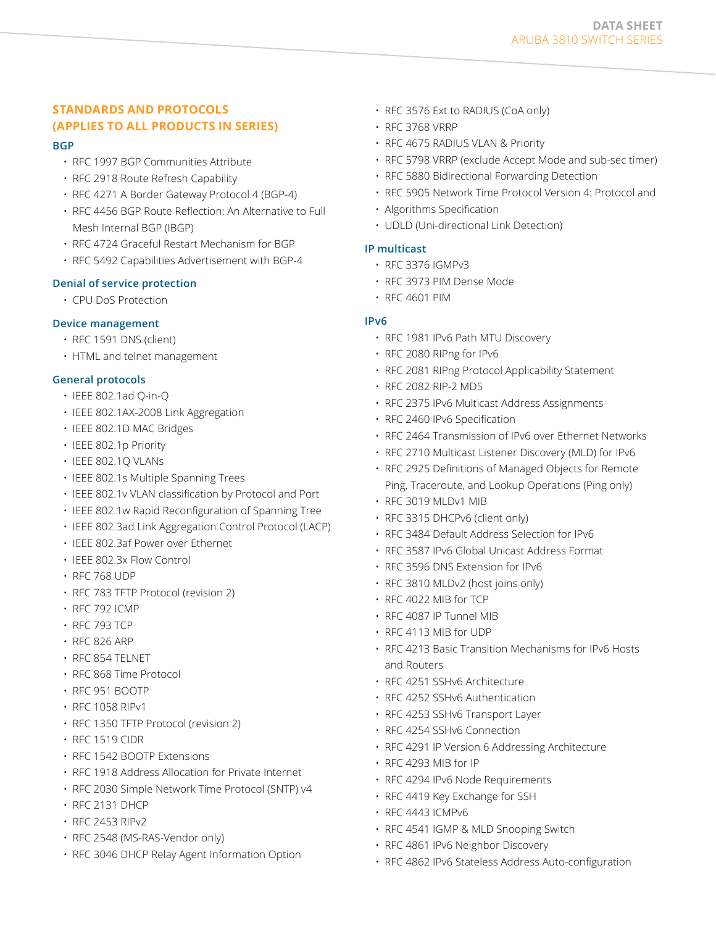# **STANDARDS AND PROTOCOLS (APPLIES TO ALL PRODUCTS IN SERIES)**

#### **BGP**

- RFC 1997 BGP Communities Attribute
- RFC 2918 Route Refresh Capability
- RFC 4271 A Border Gateway Protocol 4 (BGP-4)
- RFC 4456 BGP Route Reflection: An Alternative to Full Mesh Internal BGP (IBGP)
- RFC 4724 Graceful Restart Mechanism for BGP
- RFC 5492 Capabilities Advertisement with BGP-4

## **Denial of service protection**

• CPU DoS Protection

#### **Device management**

- RFC 1591 DNS (client)
- HTML and telnet management

# **General protocols**

- IEEE 802.1ad Q-in-Q
- IEEE 802.1AX-2008 Link Aggregation
- IEEE 802.1D MAC Bridges
- IEEE 802.1p Priority
- IEEE 802.1Q VLANs
- IEEE 802.1s Multiple Spanning Trees
- IEEE 802.1v VLAN classification by Protocol and Port
- IEEE 802.1w Rapid Reconfiguration of Spanning Tree
- IEEE 802.3ad Link Aggregation Control Protocol (LACP)
- IEEE 802.3af Power over Ethernet
- IEEE 802.3x Flow Control
- RFC 768 UDP
- RFC 783 TFTP Protocol (revision 2)
- RFC 792 ICMP
- RFC 793 TCP
- RFC 826 ARP
- RFC 854 TELNET
- RFC 868 Time Protocol
- RFC 951 BOOTP
- RFC 1058 RIPv1
- RFC 1350 TFTP Protocol (revision 2)
- RFC 1519 CIDR
- RFC 1542 BOOTP Extensions
- RFC 1918 Address Allocation for Private Internet
- RFC 2030 Simple Network Time Protocol (SNTP) v4
- RFC 2131 DHCP
- RFC 2453 RIPv2
- RFC 2548 (MS-RAS-Vendor only)
- RFC 3046 DHCP Relay Agent Information Option
- RFC 3576 Ext to RADIUS (CoA only)
- RFC 3768 VRRP
- RFC 4675 RADIUS VLAN & Priority
- RFC 5798 VRRP (exclude Accept Mode and sub-sec timer)
- RFC 5880 Bidirectional Forwarding Detection
- RFC 5905 Network Time Protocol Version 4: Protocol and
- Algorithms Specification
- UDLD (Uni-directional Link Detection)

#### **IP multicast**

- RFC 3376 IGMPv3
- RFC 3973 PIM Dense Mode
- RFC 4601 PIM

#### **IPv6**

- RFC 1981 IPv6 Path MTU Discovery
- RFC 2080 RIPng for IPv6
- RFC 2081 RIPng Protocol Applicability Statement
- RFC 2082 RIP-2 MD5
- RFC 2375 IPv6 Multicast Address Assignments
- RFC 2460 IPv6 Specification
- RFC 2464 Transmission of IPv6 over Ethernet Networks
- RFC 2710 Multicast Listener Discovery (MLD) for IPv6
- RFC 2925 Definitions of Managed Objects for Remote Ping, Traceroute, and Lookup Operations (Ping only)
- RFC 3019 MLDv1 MIB
- RFC 3315 DHCPv6 (client only)
- RFC 3484 Default Address Selection for IPv6
- RFC 3587 IPv6 Global Unicast Address Format
- RFC 3596 DNS Extension for IPv6
- RFC 3810 MLDv2 (host joins only)
- RFC 4022 MIB for TCP
- RFC 4087 IP Tunnel MIB
- RFC 4113 MIB for UDP
- RFC 4213 Basic Transition Mechanisms for IPv6 Hosts and Routers
- RFC 4251 SSHv6 Architecture
- RFC 4252 SSHv6 Authentication
- RFC 4253 SSHv6 Transport Layer
- RFC 4254 SSHv6 Connection
- RFC 4291 IP Version 6 Addressing Architecture
- RFC 4293 MIB for IP
- RFC 4294 IPv6 Node Requirements
- RFC 4419 Key Exchange for SSH
- RFC 4443 ICMPv6
- RFC 4541 IGMP & MLD Snooping Switch
- RFC 4861 IPv6 Neighbor Discovery
- RFC 4862 IPv6 Stateless Address Auto-configuration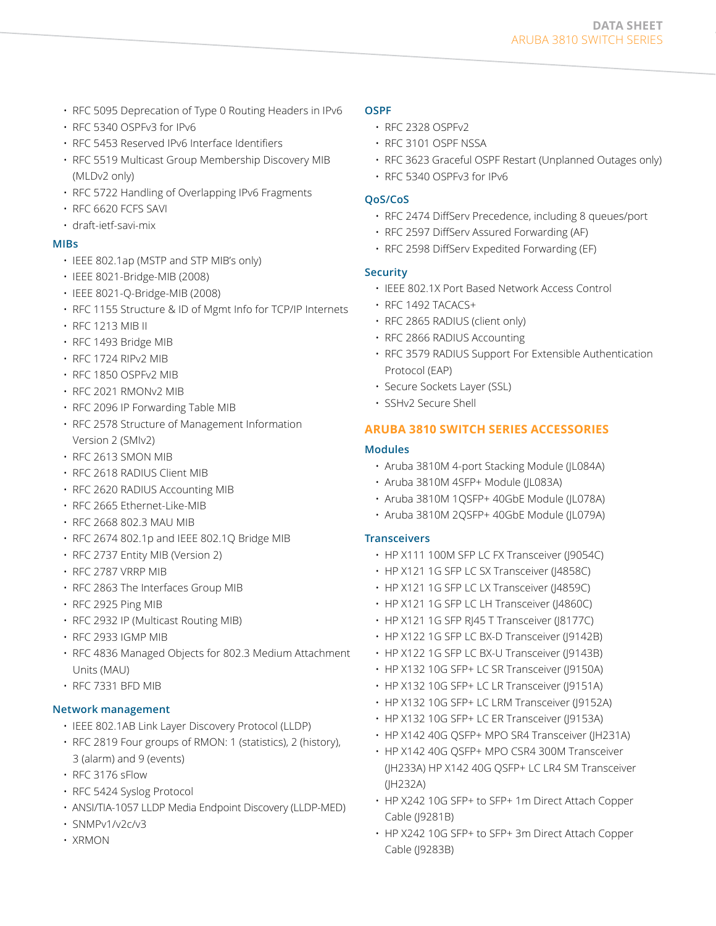- RFC 5095 Deprecation of Type 0 Routing Headers in IPv6
- RFC 5340 OSPFv3 for IPv6
- RFC 5453 Reserved IPv6 Interface Identifiers
- RFC 5519 Multicast Group Membership Discovery MIB (MLDv2 only)
- RFC 5722 Handling of Overlapping IPv6 Fragments
- RFC 6620 FCFS SAVI
- draft-ietf-savi-mix

# **MIBs**

- IEEE 802.1ap (MSTP and STP MIB's only)
- IEEE 8021-Bridge-MIB (2008)
- IEEE 8021-Q-Bridge-MIB (2008)
- RFC 1155 Structure & ID of Mgmt Info for TCP/IP Internets
- RFC 1213 MIB II
- RFC 1493 Bridge MIB
- RFC 1724 RIPv2 MIB
- RFC 1850 OSPFv2 MIB
- RFC 2021 RMONv2 MIB
- RFC 2096 IP Forwarding Table MIB
- RFC 2578 Structure of Management Information Version 2 (SMIv2)
- RFC 2613 SMON MIB
- RFC 2618 RADIUS Client MIB
- RFC 2620 RADIUS Accounting MIB
- RFC 2665 Ethernet-Like-MIB
- RFC 2668 802.3 MAU MIB
- RFC 2674 802.1p and IEEE 802.1Q Bridge MIB
- RFC 2737 Entity MIB (Version 2)
- RFC 2787 VRRP MIB
- RFC 2863 The Interfaces Group MIB
- RFC 2925 Ping MIB
- RFC 2932 IP (Multicast Routing MIB)
- RFC 2933 IGMP MIB
- RFC 4836 Managed Objects for 802.3 Medium Attachment Units (MAU)
- RFC 7331 BFD MIB

# **Network management**

- IEEE 802.1AB Link Layer Discovery Protocol (LLDP)
- RFC 2819 Four groups of RMON: 1 (statistics), 2 (history), 3 (alarm) and 9 (events)
- RFC 3176 sFlow
- RFC 5424 Syslog Protocol
- ANSI/TIA-1057 LLDP Media Endpoint Discovery (LLDP-MED)
- SNMPv1/v2c/v3
- XRMON

#### **OSPF**

- RFC 2328 OSPFv2
- RFC 3101 OSPF NSSA
- RFC 3623 Graceful OSPF Restart (Unplanned Outages only)
- RFC 5340 OSPFv3 for IPv6

## **QoS/CoS**

- RFC 2474 DiffServ Precedence, including 8 queues/port
- RFC 2597 DiffServ Assured Forwarding (AF)
- RFC 2598 DiffServ Expedited Forwarding (EF)

# **Security**

- IEEE 802.1X Port Based Network Access Control
- RFC 1492 TACACS+
- RFC 2865 RADIUS (client only)
- RFC 2866 RADIUS Accounting
- RFC 3579 RADIUS Support For Extensible Authentication Protocol (EAP)
- Secure Sockets Layer (SSL)
- SSHv2 Secure Shell

# **ARUBA 3810 SWITCH SERIES ACCESSORIES**

# **Modules**

- Aruba 3810M 4-port Stacking Module (JL084A)
- Aruba 3810M 4SFP+ Module (JL083A)
- Aruba 3810M 1QSFP+ 40GbE Module (JL078A)
- Aruba 3810M 2QSFP+ 40GbE Module (JL079A)

# **Transceivers**

- HP X111 100M SFP LC FX Transceiver (J9054C)
- HP X121 1G SFP LC SX Transceiver (J4858C)
- HP X121 1G SFP LC LX Transceiver (J4859C)
- HP X121 1G SFP LC LH Transceiver (J4860C)
- HP X121 1G SFP RJ45 T Transceiver (J8177C)
- HP X122 1G SFP LC BX-D Transceiver (J9142B)
- HP X122 1G SFP LC BX-U Transceiver (J9143B)
- HP X132 10G SFP+ LC SR Transceiver (J9150A)
- HP X132 10G SFP+ LC LR Transceiver (J9151A)
- HP X132 10G SFP+ LC LRM Transceiver (J9152A)
- HP X132 10G SFP+ LC ER Transceiver (J9153A)
- HP X142 40G QSFP+ MPO SR4 Transceiver (JH231A)
- HP X142 40G QSFP+ MPO CSR4 300M Transceiver (JH233A) HP X142 40G QSFP+ LC LR4 SM Transceiver (JH232A)
- HP X242 10G SFP+ to SFP+ 1m Direct Attach Copper Cable (J9281B)
- HP X242 10G SFP+ to SFP+ 3m Direct Attach Copper Cable (J9283B)